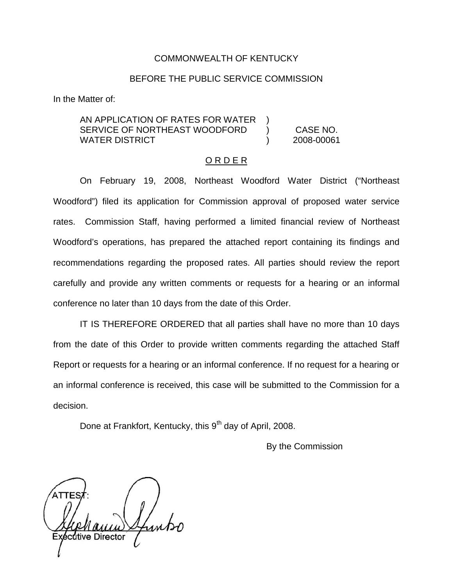### COMMONWEALTH OF KENTUCKY

### BEFORE THE PUBLIC SERVICE COMMISSION

In the Matter of:

AN APPLICATION OF RATES FOR WATER SERVICE OF NORTHEAST WOODFORD ) CASE NO. WATER DISTRICT ) 2008-00061

#### O R D E R

On February 19, 2008, Northeast Woodford Water District ("Northeast Woodford") filed its application for Commission approval of proposed water service rates. Commission Staff, having performed a limited financial review of Northeast Woodford's operations, has prepared the attached report containing its findings and recommendations regarding the proposed rates. All parties should review the report carefully and provide any written comments or requests for a hearing or an informal conference no later than 10 days from the date of this Order.

IT IS THEREFORE ORDERED that all parties shall have no more than 10 days from the date of this Order to provide written comments regarding the attached Staff Report or requests for a hearing or an informal conference. If no request for a hearing or an informal conference is received, this case will be submitted to the Commission for a decision.

Done at Frankfort, Kentucky, this 9<sup>th</sup> day of April, 2008.

By the Commission

dtive Director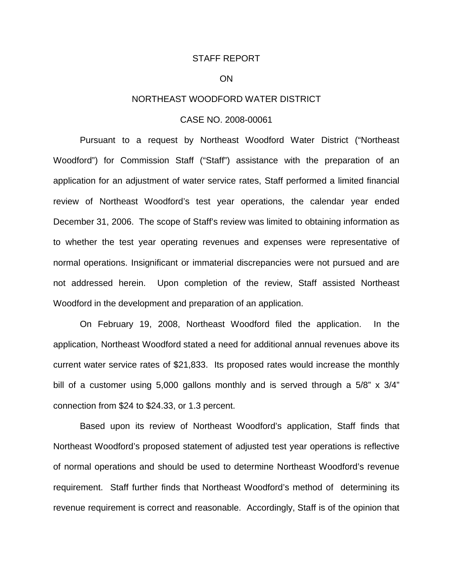#### STAFF REPORT

#### ON

### NORTHEAST WOODFORD WATER DISTRICT

## CASE NO. 2008-00061

Pursuant to a request by Northeast Woodford Water District ("Northeast Woodford") for Commission Staff ("Staff") assistance with the preparation of an application for an adjustment of water service rates, Staff performed a limited financial review of Northeast Woodford's test year operations, the calendar year ended December 31, 2006. The scope of Staff's review was limited to obtaining information as to whether the test year operating revenues and expenses were representative of normal operations. Insignificant or immaterial discrepancies were not pursued and are not addressed herein. Upon completion of the review, Staff assisted Northeast Woodford in the development and preparation of an application.

On February 19, 2008, Northeast Woodford filed the application. In the application, Northeast Woodford stated a need for additional annual revenues above its current water service rates of \$21,833. Its proposed rates would increase the monthly bill of a customer using 5,000 gallons monthly and is served through a 5/8" x 3/4" connection from \$24 to \$24.33, or 1.3 percent.

Based upon its review of Northeast Woodford's application, Staff finds that Northeast Woodford's proposed statement of adjusted test year operations is reflective of normal operations and should be used to determine Northeast Woodford's revenue requirement. Staff further finds that Northeast Woodford's method of determining its revenue requirement is correct and reasonable. Accordingly, Staff is of the opinion that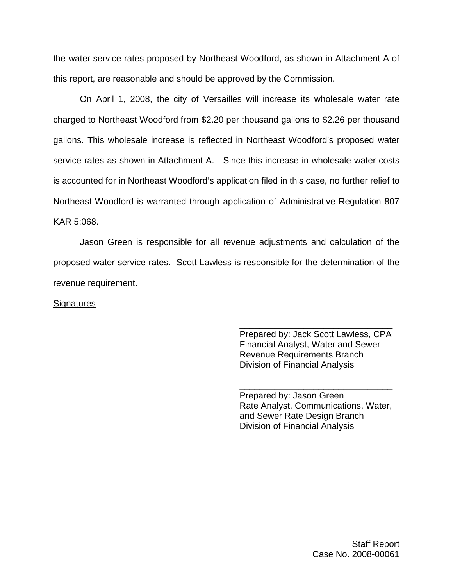the water service rates proposed by Northeast Woodford, as shown in Attachment A of this report, are reasonable and should be approved by the Commission.

On April 1, 2008, the city of Versailles will increase its wholesale water rate charged to Northeast Woodford from \$2.20 per thousand gallons to \$2.26 per thousand gallons. This wholesale increase is reflected in Northeast Woodford's proposed water service rates as shown in Attachment A. Since this increase in wholesale water costs is accounted for in Northeast Woodford's application filed in this case, no further relief to Northeast Woodford is warranted through application of Administrative Regulation 807 KAR 5:068.

Jason Green is responsible for all revenue adjustments and calculation of the proposed water service rates. Scott Lawless is responsible for the determination of the revenue requirement.

#### **Signatures**

Prepared by: Jack Scott Lawless, CPA Financial Analyst, Water and Sewer Revenue Requirements Branch Division of Financial Analysis

\_\_\_\_\_\_\_\_\_\_\_\_\_\_\_\_\_\_\_\_\_\_\_\_\_\_\_\_\_\_\_

Prepared by: Jason Green Rate Analyst, Communications, Water, and Sewer Rate Design Branch Division of Financial Analysis

\_\_\_\_\_\_\_\_\_\_\_\_\_\_\_\_\_\_\_\_\_\_\_\_\_\_\_\_\_\_\_